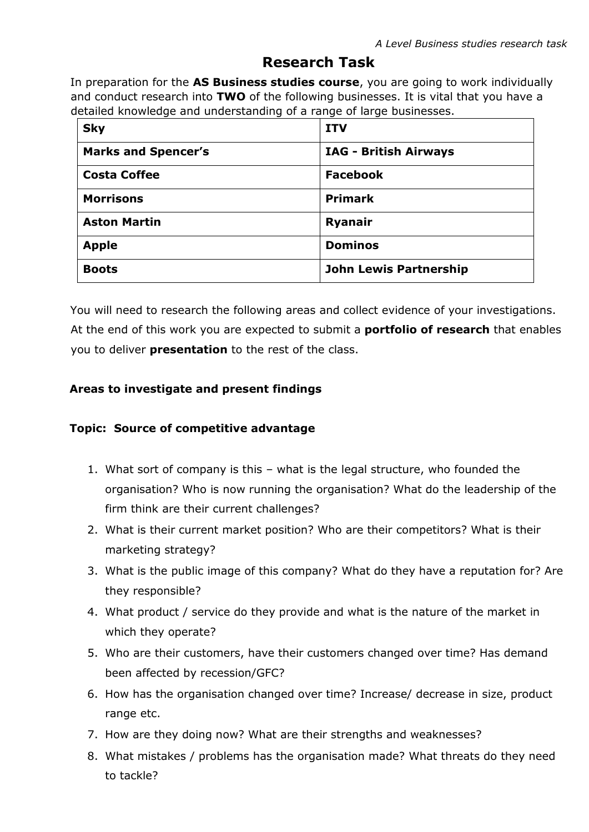## **Research Task**

In preparation for the **AS Business studies course**, you are going to work individually and conduct research into **TWO** of the following businesses. It is vital that you have a detailed knowledge and understanding of a range of large businesses.

| <b>Sky</b>                 | <b>ITV</b>                    |
|----------------------------|-------------------------------|
| <b>Marks and Spencer's</b> | <b>IAG - British Airways</b>  |
| <b>Costa Coffee</b>        | <b>Facebook</b>               |
| <b>Morrisons</b>           | <b>Primark</b>                |
| <b>Aston Martin</b>        | <b>Ryanair</b>                |
| <b>Apple</b>               | <b>Dominos</b>                |
| <b>Boots</b>               | <b>John Lewis Partnership</b> |

You will need to research the following areas and collect evidence of your investigations. At the end of this work you are expected to submit a **portfolio of research** that enables you to deliver **presentation** to the rest of the class.

## **Areas to investigate and present findings**

## **Topic: Source of competitive advantage**

- 1. What sort of company is this what is the legal structure, who founded the organisation? Who is now running the organisation? What do the leadership of the firm think are their current challenges?
- 2. What is their current market position? Who are their competitors? What is their marketing strategy?
- 3. What is the public image of this company? What do they have a reputation for? Are they responsible?
- 4. What product / service do they provide and what is the nature of the market in which they operate?
- 5. Who are their customers, have their customers changed over time? Has demand been affected by recession/GFC?
- 6. How has the organisation changed over time? Increase/ decrease in size, product range etc.
- 7. How are they doing now? What are their strengths and weaknesses?
- 8. What mistakes / problems has the organisation made? What threats do they need to tackle?